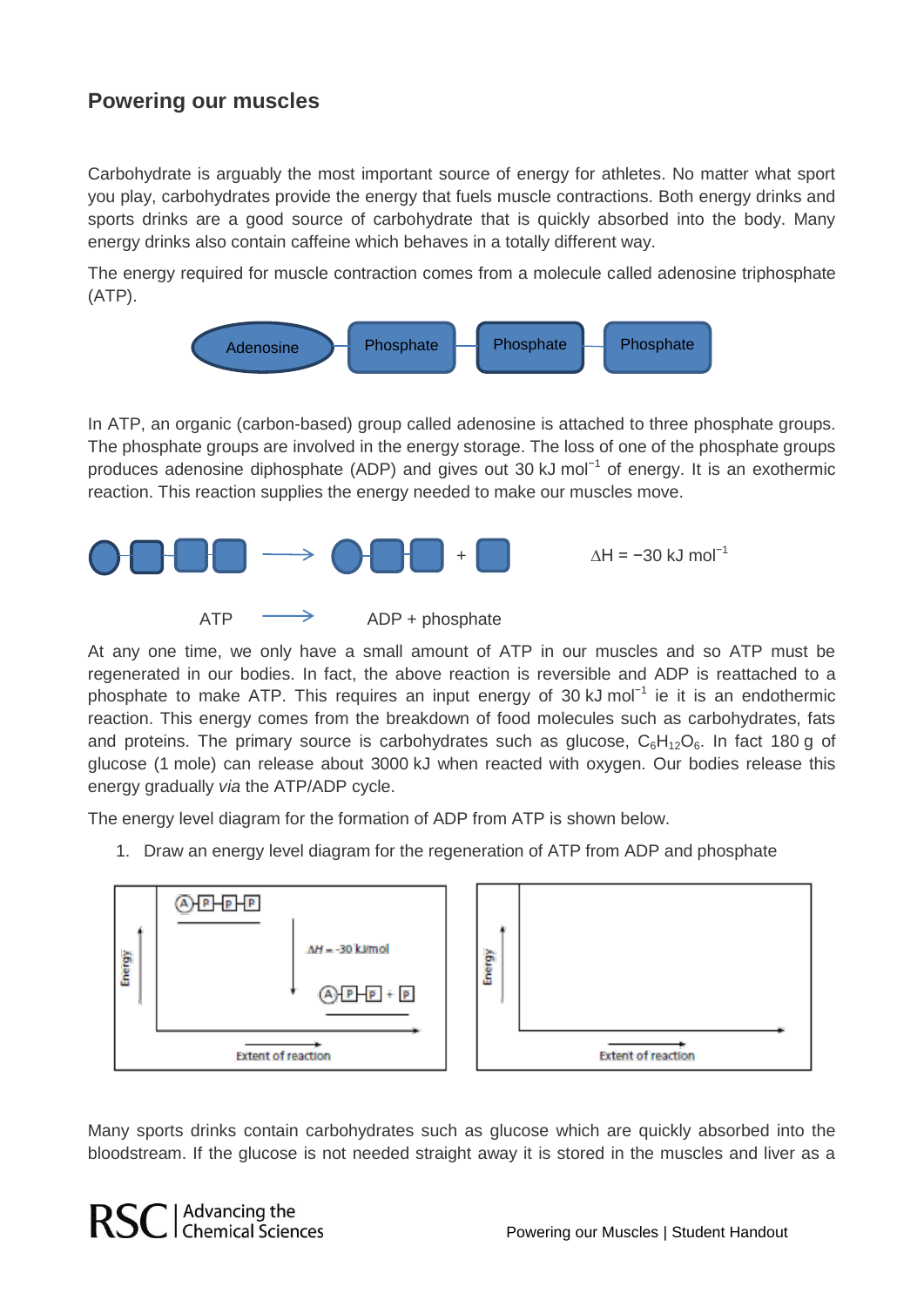## **Powering our muscles**

Carbohydrate is arguably the most important source of energy for athletes. No matter what sport you play, carbohydrates provide the energy that fuels muscle contractions. Both energy drinks and sports drinks are a good source of carbohydrate that is quickly absorbed into the body. Many energy drinks also contain caffeine which behaves in a totally different way.

The energy required for muscle contraction comes from a molecule called adenosine triphosphate (ATP).



In ATP, an organic (carbon-based) group called adenosine is attached to three phosphate groups. The phosphate groups are involved in the energy storage. The loss of one of the phosphate groups produces adenosine diphosphate (ADP) and gives out 30 kJ mol<sup>-1</sup> of energy. It is an exothermic reaction. This reaction supplies the energy needed to make our muscles move.



At any one time, we only have a small amount of ATP in our muscles and so ATP must be regenerated in our bodies. In fact, the above reaction is reversible and ADP is reattached to a phosphate to make ATP. This requires an input energy of 30 kJ mol<sup>-1</sup> ie it is an endothermic reaction. This energy comes from the breakdown of food molecules such as carbohydrates, fats and proteins. The primary source is carbohydrates such as glucose,  $C_6H_{12}O_6$ . In fact 180 g of glucose (1 mole) can release about 3000 kJ when reacted with oxygen. Our bodies release this energy gradually *via* the ATP/ADP cycle.

The energy level diagram for the formation of ADP from ATP is shown below.

1. Draw an energy level diagram for the regeneration of ATP from ADP and phosphate



Many sports drinks contain carbohydrates such as glucose which are quickly absorbed into the bloodstream. If the glucose is not needed straight away it is stored in the muscles and liver as a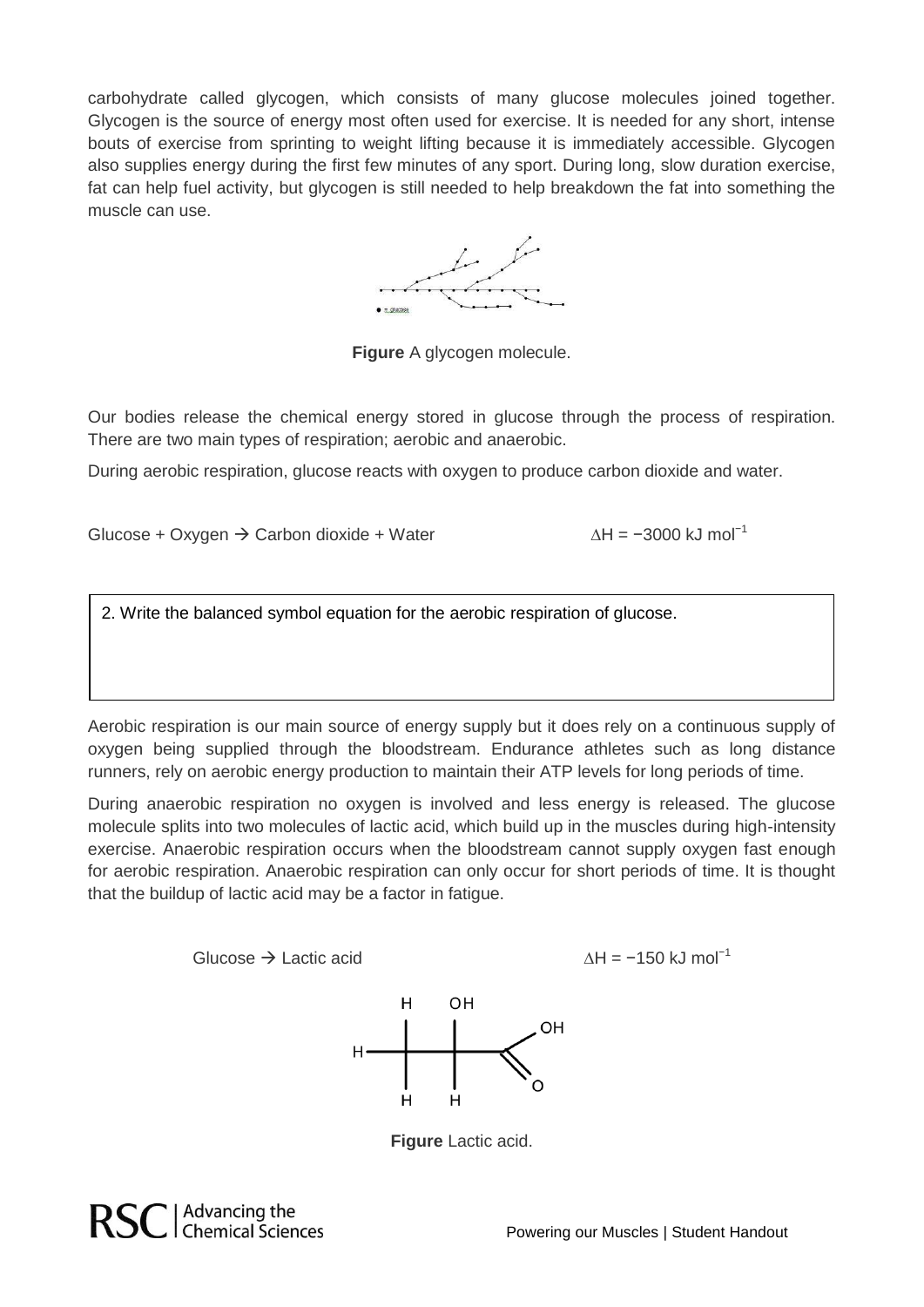carbohydrate called glycogen, which consists of many glucose molecules joined together. Glycogen is the source of energy most often used for exercise. It is needed for any short, intense bouts of exercise from sprinting to weight lifting because it is immediately accessible. Glycogen also supplies energy during the first few minutes of any sport. During long, slow duration exercise, fat can help fuel activity, but glycogen is still needed to help breakdown the fat into something the muscle can use.

**Figure** A glycogen molecule.

Our bodies release the chemical energy stored in glucose through the process of respiration. There are two main types of respiration; aerobic and anaerobic.

During aerobic respiration, glucose reacts with oxygen to produce carbon dioxide and water.

Glucose + Oxygen → Carbon dioxide + Water  $\Delta H = -3000$  kJ mol<sup>-1</sup>

2. Write the balanced symbol equation for the aerobic respiration of glucose.

Aerobic respiration is our main source of energy supply but it does rely on a continuous supply of oxygen being supplied through the bloodstream. Endurance athletes such as long distance runners, rely on aerobic energy production to maintain their ATP levels for long periods of time.

During anaerobic respiration no oxygen is involved and less energy is released. The glucose molecule splits into two molecules of lactic acid, which build up in the muscles during high-intensity exercise. Anaerobic respiration occurs when the bloodstream cannot supply oxygen fast enough for aerobic respiration. Anaerobic respiration can only occur for short periods of time. It is thought that the buildup of lactic acid may be a factor in fatigue.

Glucose  $\rightarrow$  Lactic acid  $\Delta H = -150$  kJ mol<sup>-1</sup>



**Figure** Lactic acid.